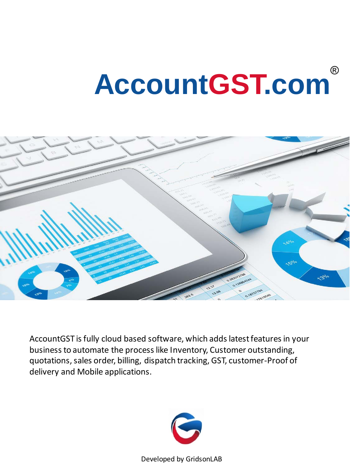# **AccountGST.com**



AccountGST is fully cloud based software, which adds latest features in your business to automate the process like Inventory, Customer outstanding, quotations, sales order, billing, dispatch tracking, GST, customer-Proof of delivery and Mobile applications.

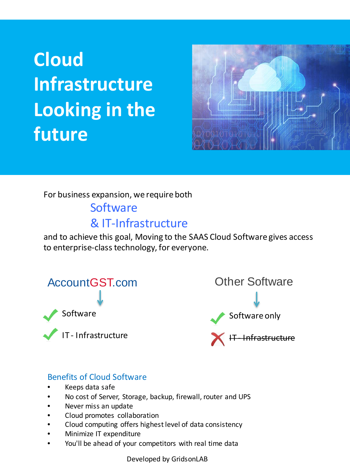# **Cloud Infrastructure Looking in the future**



For business expansion, we require both

### **Software** & IT-Infrastructure

and to achieve this goal, Moving to the SAAS Cloud Software gives access to enterprise-class technology, for everyone.

AccountGST.com Software IT - Infrastructure

Other Software Software only - Infrastructure

#### Benefits of Cloud Software

- Keeps data safe
- No cost of Server, Storage, backup, firewall, router and UPS
- Never miss an update
- Cloud promotes collaboration
- Cloud computing offers highest level of data consistency
- Minimize IT expenditure
- You'll be ahead of your competitors with real time data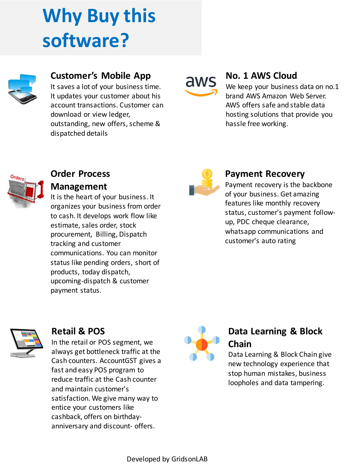# **Why Buy this software?**



### **Customer's Mobile App**

It saves a lot of your business time. It updates your customer about his account transactions. Customer can download or view ledger, outstanding, new offers, scheme & dispatched details

aws

#### **No. 1 AWS Cloud**

We keep your business data on no.1 brand AWS Amazon Web Server. AWS offers safe and stable data hosting solutions that provide you hassle free working.



#### **Order Process Management**

It is the heart of your business. It organizes your business from order to cash. It develops work flow like estimate, sales order, stock procurement, Billing, Dispatch tracking and customer communications. You can monitor status like pending orders, short of products, today dispatch, upcoming-dispatch & customer payment status.



#### **Payment Recovery**

Payment recovery is the backbone of your business. Get amazing features like monthly recovery status, customer's payment followup, PDC cheque clearance, whatsapp communications and customer's auto rating



#### **Retail & POS**

In the retail or POS segment, we always get bottleneck traffic at the Cash counters. AccountGST gives a fast and easy POS program to reduce traffic at the Cash counter and maintain customer's satisfaction. We give many way to entice your customers like cashback, offers on birthdayanniversary and discount- offers.



#### **Data Learning & Block Chain**

Data Learning & Block Chain give new technology experience that stop human mistakes, business loopholes and data tampering.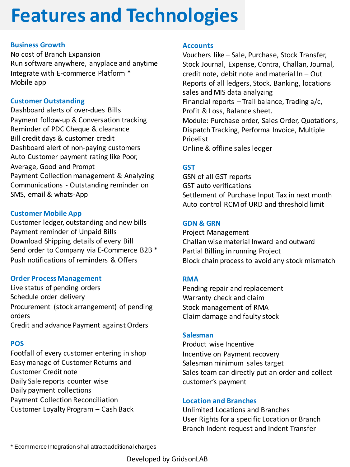### **Features and Technologies**

#### **Business Growth**

No cost of Branch Expansion Run software anywhere, anyplace and anytime Integrate with E-commerce Platform \* Mobile app

#### **Customer Outstanding**

Dashboard alerts of over-dues Bills Payment follow-up & Conversation tracking Reminder of PDC Cheque & clearance Bill credit days & customer credit Dashboard alert of non-paying customers Auto Customer payment rating like Poor, Average, Good and Prompt Payment Collection management & Analyzing Communications - Outstanding reminder on SMS, email & whats-App

#### **Customer Mobile App**

Customer ledger, outstanding and new bills Payment reminder of Unpaid Bills Download Shipping details of every Bill Send order to Company via E-Commerce B2B \* Push notifications of reminders & Offers

#### **Order Process Management**

Live status of pending orders Schedule order delivery Procurement (stock arrangement) of pending orders Credit and advance Payment against Orders

#### **POS**

Footfall of every customer entering in shop Easy manage of Customer Returns and Customer Credit note Daily Sale reports counter wise Daily payment collections Payment Collection Reconciliation Customer Loyalty Program – Cash Back

#### **Accounts**

Vouchers like – Sale, Purchase, Stock Transfer, Stock Journal, Expense, Contra, Challan, Journal, credit note, debit note and material In – Out Reports of all ledgers, Stock, Banking, locations sales and MIS data analyzing Financial reports  $-$  Trail balance, Trading a/c, Profit & Loss, Balance sheet. Module: Purchase order, Sales Order, Quotations, Dispatch Tracking, Performa Invoice, Multiple Pricelist Online & offline sales ledger

#### **GST**

GSN of all GST reports GST auto verifications Settlement of Purchase Input Tax in next month Auto control RCM of URD and threshold limit

#### **GDN & GRN**

Project Management Challan wise material Inward and outward Partial Billing in running Project Block chain process to avoid any stock mismatch

#### **RMA**

Pending repair and replacement Warranty check and claim Stock management of RMA Claim damage and faulty stock

#### **Salesman**

Product wise Incentive Incentive on Payment recovery Salesman minimum sales target Sales team can directly put an order and collect customer's payment

#### **Location and Branches**

Unlimited Locations and Branches User Rights for a specific Location or Branch Branch Indent request and Indent Transfer

\* Ecommerce Integration shall attract additional charges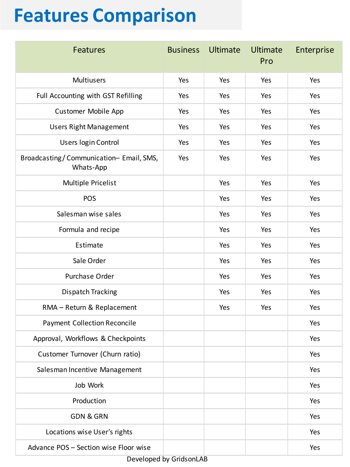## **Features Comparison**

| <b>Features</b>                                     | <b>Business</b> | <b>Ultimate</b> | <b>Ultimate</b><br>Pro | Enterprise |
|-----------------------------------------------------|-----------------|-----------------|------------------------|------------|
| Multiusers                                          | Yes             | Yes             | Yes                    | Yes        |
| Full Accounting with GST Refilling                  | Yes             | Yes             | Yes                    | Yes        |
| <b>Customer Mobile App</b>                          | Yes             | Yes             | Yes                    | Yes        |
| <b>Users Right Management</b>                       | Yes             | Yes             | Yes                    | Yes        |
| Users login Control                                 | Yes             | Yes             | Yes                    | Yes        |
| Broadcasting/Communication-Email, SMS,<br>Whats-App | Yes             | Yes             | Yes                    | Yes        |
| Multiple Pricelist                                  |                 | Yes             | Yes                    | Yes        |
| POS                                                 |                 | Yes             | Yes                    | Yes        |
| Salesman wise sales                                 |                 | Yes             | Yes                    | Yes        |
| Formula and recipe                                  |                 | Yes             | Yes                    | Yes        |
| Estimate                                            |                 | Yes             | Yes                    | Yes        |
| Sale Order                                          |                 | Yes             | Yes                    | Yes        |
| Purchase Order                                      |                 | Yes             | Yes                    | Yes        |
| Dispatch Tracking                                   |                 | Yes             | Yes                    | Yes        |
| RMA - Return & Replacement                          |                 | Yes             | Yes                    | Yes        |
| <b>Payment Collection Reconcile</b>                 |                 |                 |                        | Yes        |
| Approval, Workflows & Checkpoints                   |                 |                 |                        | Yes        |
| Customer Turnover (Churn ratio)                     |                 |                 |                        | Yes        |
| Salesman Incentive Management                       |                 |                 |                        | Yes        |
| Job Work                                            |                 |                 |                        | Yes        |
| Production                                          |                 |                 |                        | Yes        |
| <b>GDN &amp; GRN</b>                                |                 |                 |                        | Yes        |
| Locations wise User's rights                        |                 |                 |                        | Yes        |
| Advance POS - Section wise Floor wise               |                 |                 |                        | Yes        |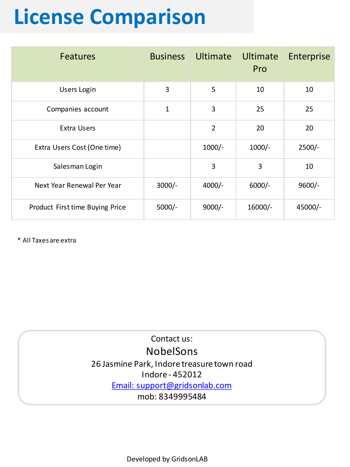# **License Comparison**

| <b>Features</b>                 |             | <b>Business Ultimate Ultimate</b> | Pro       | Enterprise |
|---------------------------------|-------------|-----------------------------------|-----------|------------|
| <b>Users Login</b>              | 3           | 5                                 | 10        | 10         |
| Companies account               | $\mathbf 1$ | 3                                 | 25        | 25         |
| Extra Users                     |             | $\overline{2}$                    | 20        | 20         |
| Extra Users Cost (One time)     |             | $1000/-$                          | $1000/-$  | $2500/-$   |
| Salesman Login                  |             | 3                                 | 3         | 10         |
| Next Year Renewal Per Year      | $3000/-$    | $4000/-$                          | $6000/-$  | $9600/-$   |
| Product First time Buying Price | $5000/-$    | $9000/-$                          | $16000/-$ | 45000/-    |

\* All Taxes are extra

Contact us: NobelSons 26 Jasmine Park, Indore treasure town road Indore - 452012 [Email: support@gridsonlab.com](mailto:support@nss.net.in) mob: 8349995484